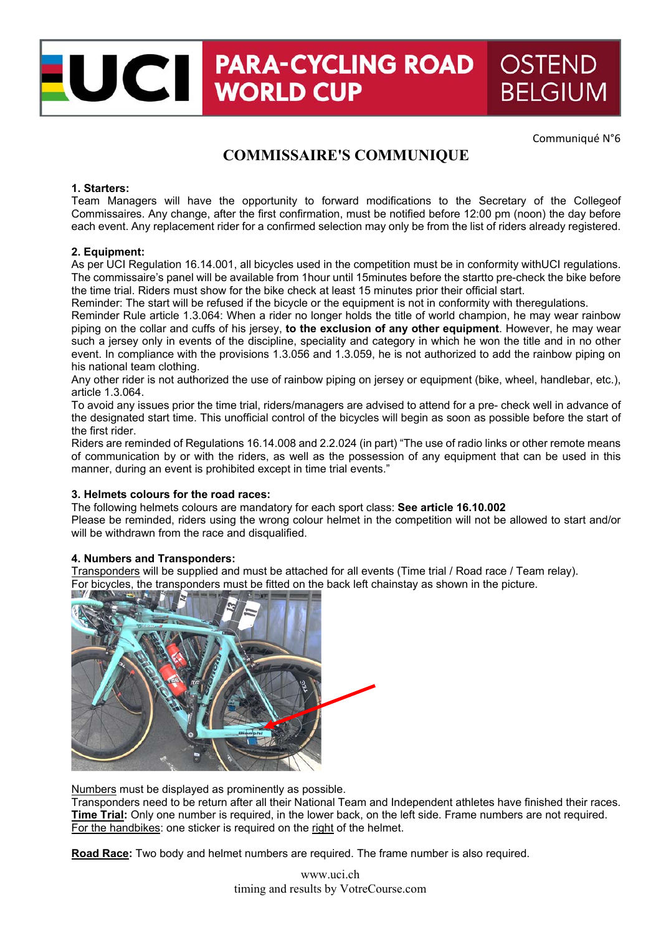# UCI PARA-CYCLII **PARA-CYCLING ROAD OSTEND BELGIUM**

Communiqué N°6

# **COMMISSAIRE'S COMMUNIQUE**

### **1. Starters:**

Team Managers will have the opportunity to forward modifications to the Secretary of the Collegeof Commissaires. Any change, after the first confirmation, must be notified before 12:00 pm (noon) the day before each event. Any replacement rider for a confirmed selection may only be from the list of riders already registered.

#### **2. Equipment:**

As per UCI Regulation 16.14.001, all bicycles used in the competition must be in conformity withUCI regulations. The commissaire's panel will be available from 1hour until 15minutes before the startto pre-check the bike before the time trial. Riders must show for the bike check at least 15 minutes prior their official start.

Reminder: The start will be refused if the bicycle or the equipment is not in conformity with theregulations.

Reminder Rule article 1.3.064: When a rider no longer holds the title of world champion, he may wear rainbow piping on the collar and cuffs of his jersey, **to the exclusion of any other equipment**. However, he may wear such a jersey only in events of the discipline, speciality and category in which he won the title and in no other event. In compliance with the provisions 1.3.056 and 1.3.059, he is not authorized to add the rainbow piping on his national team clothing.

Any other rider is not authorized the use of rainbow piping on jersey or equipment (bike, wheel, handlebar, etc.), article 1.3.064.

To avoid any issues prior the time trial, riders/managers are advised to attend for a pre- check well in advance of the designated start time. This unofficial control of the bicycles will begin as soon as possible before the start of the first rider.

Riders are reminded of Regulations 16.14.008 and 2.2.024 (in part) "The use of radio links or other remote means of communication by or with the riders, as well as the possession of any equipment that can be used in this manner, during an event is prohibited except in time trial events."

# **3. Helmets colours for the road races:**

The following helmets colours are mandatory for each sport class: **See article 16.10.002**

Please be reminded, riders using the wrong colour helmet in the competition will not be allowed to start and/or will be withdrawn from the race and disqualified.

## **4. Numbers and Transponders:**

Transponders will be supplied and must be attached for all events (Time trial / Road race / Team relay). For bicycles, the transponders must be fitted on the back left chainstay as shown in the picture.



Numbers must be displayed as prominently as possible.

Transponders need to be return after all their National Team and Independent athletes have finished their races. **Time Trial:** Only one number is required, in the lower back, on the left side. Frame numbers are not required. For the handbikes: one sticker is required on the right of the helmet.

**Road Race:** Two body and helmet numbers are required. The frame number is also required.

www.uci.ch timing and results by VotreCourse.com